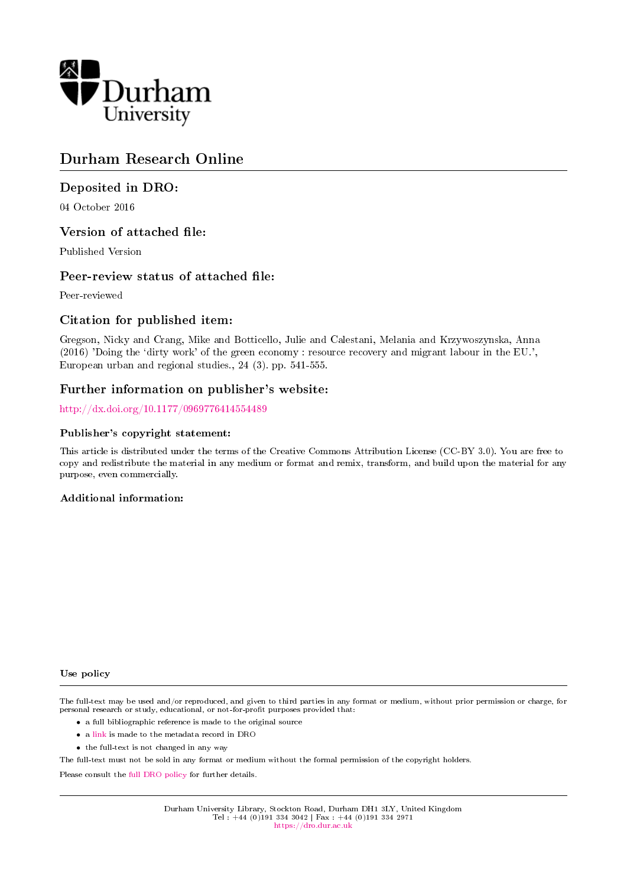

## Durham Research Online

## Deposited in DRO:

04 October 2016

## Version of attached file:

Published Version

## Peer-review status of attached file:

Peer-reviewed

## Citation for published item:

Gregson, Nicky and Crang, Mike and Botticello, Julie and Calestani, Melania and Krzywoszynska, Anna (2016) 'Doing the `dirty work' of the green economy : resource recovery and migrant labour in the EU.', European urban and regional studies., 24 (3). pp. 541-555.

## Further information on publisher's website:

<http://dx.doi.org/10.1177/0969776414554489>

## Publisher's copyright statement:

This article is distributed under the terms of the Creative Commons Attribution License (CC-BY 3.0). You are free to copy and redistribute the material in any medium or format and remix, transform, and build upon the material for any purpose, even commercially.

#### Additional information:

#### Use policy

The full-text may be used and/or reproduced, and given to third parties in any format or medium, without prior permission or charge, for personal research or study, educational, or not-for-profit purposes provided that:

- a full bibliographic reference is made to the original source
- a [link](http://dro.dur.ac.uk/13688/) is made to the metadata record in DRO
- the full-text is not changed in any way

The full-text must not be sold in any format or medium without the formal permission of the copyright holders.

Please consult the [full DRO policy](https://dro.dur.ac.uk/policies/usepolicy.pdf) for further details.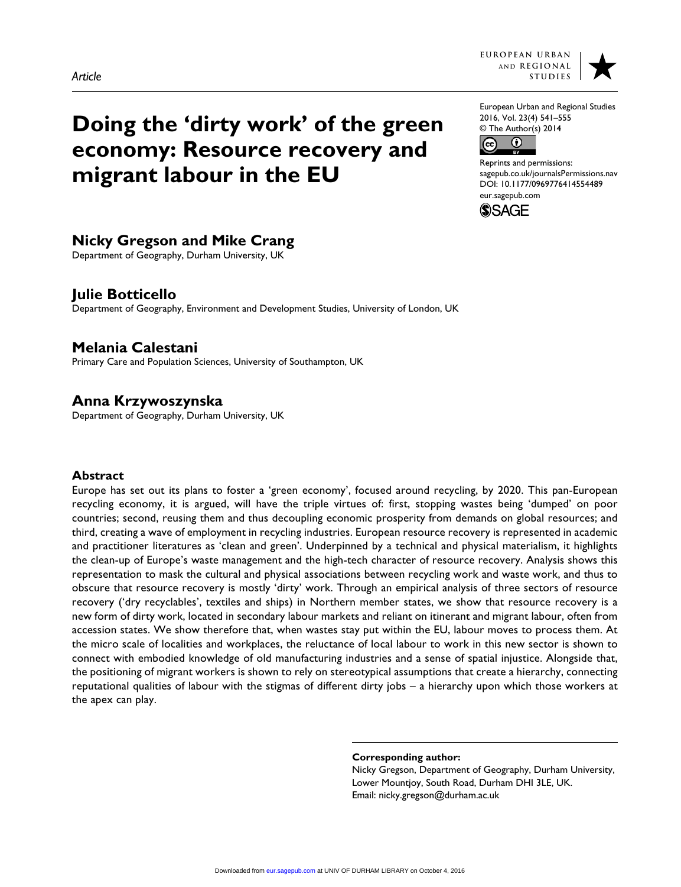

# **Doing the 'dirty work' of the green economy: Resource recovery and migrant labour in the EU**

European Urban and Regional Studies 2016, Vol. 23(4) 541–555 © The Author(s) 2014



Reprints and permissions: sagepub.co.uk/journalsPermissions.nav DOI: 10.1177/0969776414554489 eur.sagepub.com

**SSAGE** 

## **Nicky Gregson and Mike Crang**

Department of Geography, Durham University, UK

## **Julie Botticello**

Department of Geography, Environment and Development Studies, University of London, UK

## **Melania Calestani**

Primary Care and Population Sciences, University of Southampton, UK

## **Anna Krzywoszynska**

Department of Geography, Durham University, UK

#### **Abstract**

Europe has set out its plans to foster a 'green economy', focused around recycling, by 2020. This pan-European recycling economy, it is argued, will have the triple virtues of: first, stopping wastes being 'dumped' on poor countries; second, reusing them and thus decoupling economic prosperity from demands on global resources; and third, creating a wave of employment in recycling industries. European resource recovery is represented in academic and practitioner literatures as 'clean and green'. Underpinned by a technical and physical materialism, it highlights the clean-up of Europe's waste management and the high-tech character of resource recovery. Analysis shows this representation to mask the cultural and physical associations between recycling work and waste work, and thus to obscure that resource recovery is mostly 'dirty' work. Through an empirical analysis of three sectors of resource recovery ('dry recyclables', textiles and ships) in Northern member states, we show that resource recovery is a new form of dirty work, located in secondary labour markets and reliant on itinerant and migrant labour, often from accession states. We show therefore that, when wastes stay put within the EU, labour moves to process them. At the micro scale of localities and workplaces, the reluctance of local labour to work in this new sector is shown to connect with embodied knowledge of old manufacturing industries and a sense of spatial injustice. Alongside that, the positioning of migrant workers is shown to rely on stereotypical assumptions that create a hierarchy, connecting reputational qualities of labour with the stigmas of different dirty jobs – a hierarchy upon which those workers at the apex can play.

#### **Corresponding author:**

Nicky Gregson, Department of Geography, Durham University, Lower Mountjoy, South Road, Durham DHI 3LE, UK. Email: nicky.gregson@durham.ac.uk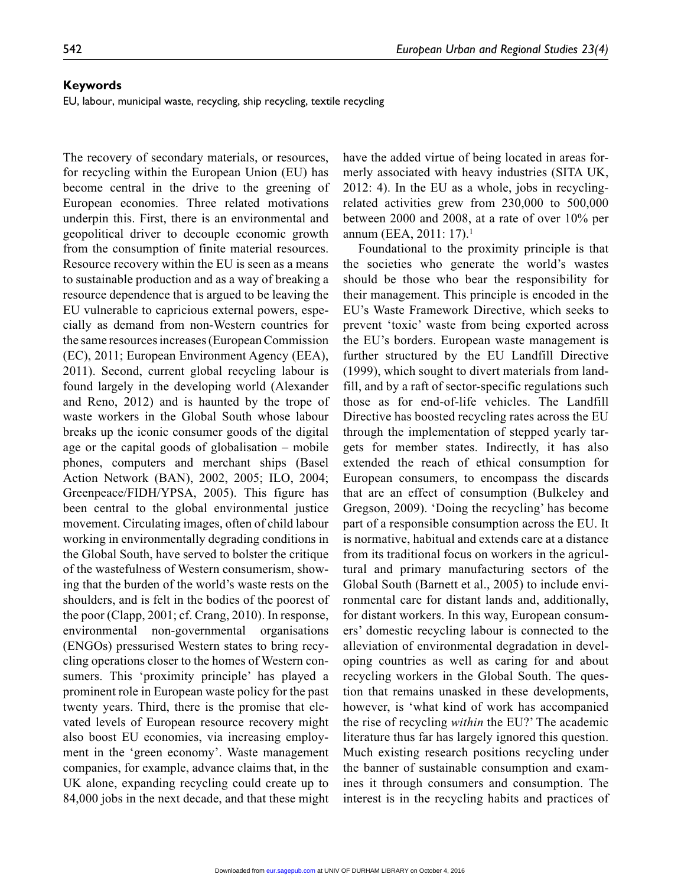#### **Keywords**

EU, labour, municipal waste, recycling, ship recycling, textile recycling

The recovery of secondary materials, or resources, for recycling within the European Union (EU) has become central in the drive to the greening of European economies. Three related motivations underpin this. First, there is an environmental and geopolitical driver to decouple economic growth from the consumption of finite material resources. Resource recovery within the EU is seen as a means to sustainable production and as a way of breaking a resource dependence that is argued to be leaving the EU vulnerable to capricious external powers, especially as demand from non-Western countries for the same resources increases (European Commission (EC), 2011; European Environment Agency (EEA), 2011). Second, current global recycling labour is found largely in the developing world (Alexander and Reno, 2012) and is haunted by the trope of waste workers in the Global South whose labour breaks up the iconic consumer goods of the digital age or the capital goods of globalisation – mobile phones, computers and merchant ships (Basel Action Network (BAN), 2002, 2005; ILO, 2004; Greenpeace/FIDH/YPSA, 2005). This figure has been central to the global environmental justice movement. Circulating images, often of child labour working in environmentally degrading conditions in the Global South, have served to bolster the critique of the wastefulness of Western consumerism, showing that the burden of the world's waste rests on the shoulders, and is felt in the bodies of the poorest of the poor (Clapp, 2001; cf. Crang, 2010). In response, environmental non-governmental organisations (ENGOs) pressurised Western states to bring recycling operations closer to the homes of Western consumers. This 'proximity principle' has played a prominent role in European waste policy for the past twenty years. Third, there is the promise that elevated levels of European resource recovery might also boost EU economies, via increasing employment in the 'green economy'. Waste management companies, for example, advance claims that, in the UK alone, expanding recycling could create up to 84,000 jobs in the next decade, and that these might

have the added virtue of being located in areas formerly associated with heavy industries (SITA UK, 2012: 4). In the EU as a whole, jobs in recyclingrelated activities grew from 230,000 to 500,000 between 2000 and 2008, at a rate of over 10% per annum (EEA, 2011: 17).1

Foundational to the proximity principle is that the societies who generate the world's wastes should be those who bear the responsibility for their management. This principle is encoded in the EU's Waste Framework Directive, which seeks to prevent 'toxic' waste from being exported across the EU's borders. European waste management is further structured by the EU Landfill Directive (1999), which sought to divert materials from landfill, and by a raft of sector-specific regulations such those as for end-of-life vehicles. The Landfill Directive has boosted recycling rates across the EU through the implementation of stepped yearly targets for member states. Indirectly, it has also extended the reach of ethical consumption for European consumers, to encompass the discards that are an effect of consumption (Bulkeley and Gregson, 2009). 'Doing the recycling' has become part of a responsible consumption across the EU. It is normative, habitual and extends care at a distance from its traditional focus on workers in the agricultural and primary manufacturing sectors of the Global South (Barnett et al., 2005) to include environmental care for distant lands and, additionally, for distant workers. In this way, European consumers' domestic recycling labour is connected to the alleviation of environmental degradation in developing countries as well as caring for and about recycling workers in the Global South. The question that remains unasked in these developments, however, is 'what kind of work has accompanied the rise of recycling *within* the EU?' The academic literature thus far has largely ignored this question. Much existing research positions recycling under the banner of sustainable consumption and examines it through consumers and consumption. The interest is in the recycling habits and practices of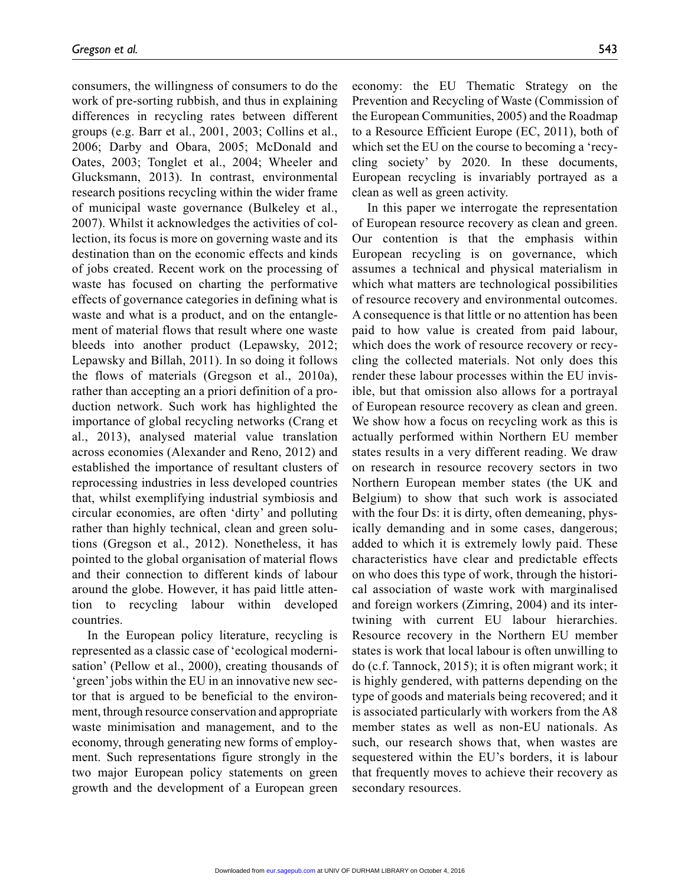consumers, the willingness of consumers to do the work of pre-sorting rubbish, and thus in explaining differences in recycling rates between different groups (e.g. Barr et al., 2001, 2003; Collins et al., 2006; Darby and Obara, 2005; McDonald and Oates, 2003; Tonglet et al., 2004; Wheeler and Glucksmann, 2013). In contrast, environmental research positions recycling within the wider frame of municipal waste governance (Bulkeley et al., 2007). Whilst it acknowledges the activities of collection, its focus is more on governing waste and its destination than on the economic effects and kinds of jobs created. Recent work on the processing of waste has focused on charting the performative effects of governance categories in defining what is waste and what is a product, and on the entanglement of material flows that result where one waste bleeds into another product (Lepawsky, 2012; Lepawsky and Billah, 2011). In so doing it follows the flows of materials (Gregson et al., 2010a), rather than accepting an a priori definition of a production network. Such work has highlighted the importance of global recycling networks (Crang et al., 2013), analysed material value translation across economies (Alexander and Reno, 2012) and established the importance of resultant clusters of reprocessing industries in less developed countries that, whilst exemplifying industrial symbiosis and circular economies, are often 'dirty' and polluting rather than highly technical, clean and green solutions (Gregson et al., 2012). Nonetheless, it has pointed to the global organisation of material flows and their connection to different kinds of labour around the globe. However, it has paid little attention to recycling labour within developed countries.

In the European policy literature, recycling is represented as a classic case of 'ecological modernisation' (Pellow et al., 2000), creating thousands of 'green' jobs within the EU in an innovative new sector that is argued to be beneficial to the environment, through resource conservation and appropriate waste minimisation and management, and to the economy, through generating new forms of employment. Such representations figure strongly in the two major European policy statements on green growth and the development of a European green economy: the EU Thematic Strategy on the Prevention and Recycling of Waste (Commission of the European Communities, 2005) and the Roadmap to a Resource Efficient Europe (EC, 2011), both of which set the EU on the course to becoming a 'recycling society' by 2020. In these documents, European recycling is invariably portrayed as a clean as well as green activity.

In this paper we interrogate the representation of European resource recovery as clean and green. Our contention is that the emphasis within European recycling is on governance, which assumes a technical and physical materialism in which what matters are technological possibilities of resource recovery and environmental outcomes. A consequence is that little or no attention has been paid to how value is created from paid labour, which does the work of resource recovery or recycling the collected materials. Not only does this render these labour processes within the EU invisible, but that omission also allows for a portrayal of European resource recovery as clean and green. We show how a focus on recycling work as this is actually performed within Northern EU member states results in a very different reading. We draw on research in resource recovery sectors in two Northern European member states (the UK and Belgium) to show that such work is associated with the four Ds: it is dirty, often demeaning, physically demanding and in some cases, dangerous; added to which it is extremely lowly paid. These characteristics have clear and predictable effects on who does this type of work, through the historical association of waste work with marginalised and foreign workers (Zimring, 2004) and its intertwining with current EU labour hierarchies. Resource recovery in the Northern EU member states is work that local labour is often unwilling to do (c.f. Tannock, 2015); it is often migrant work; it is highly gendered, with patterns depending on the type of goods and materials being recovered; and it is associated particularly with workers from the A8 member states as well as non-EU nationals. As such, our research shows that, when wastes are sequestered within the EU's borders, it is labour that frequently moves to achieve their recovery as secondary resources.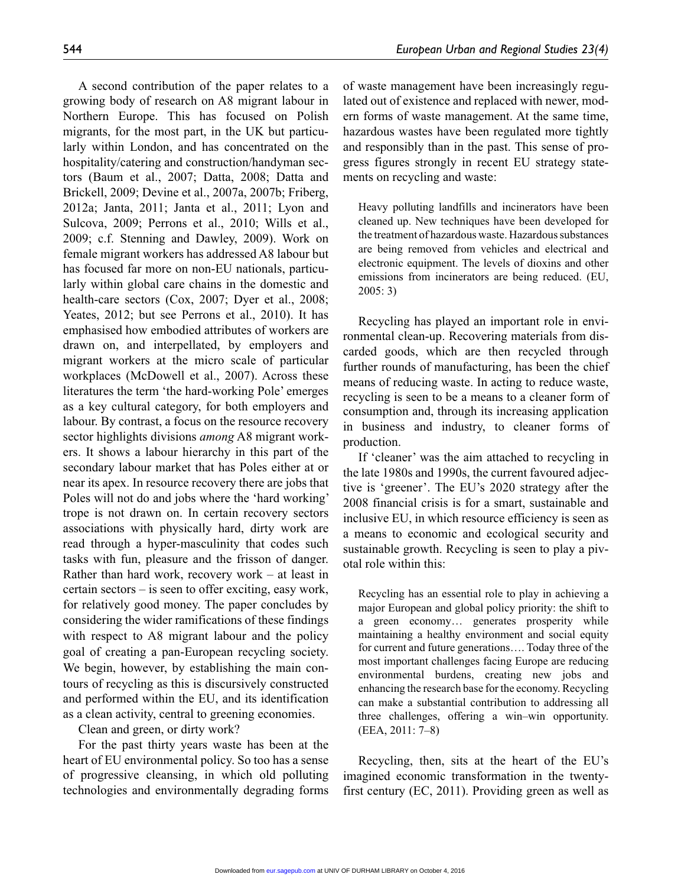A second contribution of the paper relates to a growing body of research on A8 migrant labour in Northern Europe. This has focused on Polish migrants, for the most part, in the UK but particularly within London, and has concentrated on the hospitality/catering and construction/handyman sectors (Baum et al., 2007; Datta, 2008; Datta and Brickell, 2009; Devine et al., 2007a, 2007b; Friberg, 2012a; Janta, 2011; Janta et al., 2011; Lyon and Sulcova, 2009; Perrons et al., 2010; Wills et al., 2009; c.f. Stenning and Dawley, 2009). Work on female migrant workers has addressed A8 labour but has focused far more on non-EU nationals, particularly within global care chains in the domestic and health-care sectors (Cox, 2007; Dyer et al., 2008; Yeates, 2012; but see Perrons et al., 2010). It has emphasised how embodied attributes of workers are drawn on, and interpellated, by employers and migrant workers at the micro scale of particular workplaces (McDowell et al., 2007). Across these literatures the term 'the hard-working Pole' emerges as a key cultural category, for both employers and labour. By contrast, a focus on the resource recovery sector highlights divisions *among* A8 migrant workers. It shows a labour hierarchy in this part of the secondary labour market that has Poles either at or near its apex. In resource recovery there are jobs that Poles will not do and jobs where the 'hard working' trope is not drawn on. In certain recovery sectors associations with physically hard, dirty work are read through a hyper-masculinity that codes such tasks with fun, pleasure and the frisson of danger. Rather than hard work, recovery work – at least in certain sectors – is seen to offer exciting, easy work, for relatively good money. The paper concludes by considering the wider ramifications of these findings with respect to A8 migrant labour and the policy goal of creating a pan-European recycling society. We begin, however, by establishing the main contours of recycling as this is discursively constructed and performed within the EU, and its identification as a clean activity, central to greening economies.

Clean and green, or dirty work?

For the past thirty years waste has been at the heart of EU environmental policy. So too has a sense of progressive cleansing, in which old polluting technologies and environmentally degrading forms of waste management have been increasingly regulated out of existence and replaced with newer, modern forms of waste management. At the same time, hazardous wastes have been regulated more tightly and responsibly than in the past. This sense of progress figures strongly in recent EU strategy statements on recycling and waste:

Heavy polluting landfills and incinerators have been cleaned up. New techniques have been developed for the treatment of hazardous waste. Hazardous substances are being removed from vehicles and electrical and electronic equipment. The levels of dioxins and other emissions from incinerators are being reduced. (EU, 2005: 3)

Recycling has played an important role in environmental clean-up. Recovering materials from discarded goods, which are then recycled through further rounds of manufacturing, has been the chief means of reducing waste. In acting to reduce waste, recycling is seen to be a means to a cleaner form of consumption and, through its increasing application in business and industry, to cleaner forms of production.

If 'cleaner' was the aim attached to recycling in the late 1980s and 1990s, the current favoured adjective is 'greener'. The EU's 2020 strategy after the 2008 financial crisis is for a smart, sustainable and inclusive EU, in which resource efficiency is seen as a means to economic and ecological security and sustainable growth. Recycling is seen to play a pivotal role within this:

Recycling has an essential role to play in achieving a major European and global policy priority: the shift to a green economy… generates prosperity while maintaining a healthy environment and social equity for current and future generations…. Today three of the most important challenges facing Europe are reducing environmental burdens, creating new jobs and enhancing the research base for the economy. Recycling can make a substantial contribution to addressing all three challenges, offering a win–win opportunity. (EEA, 2011: 7–8)

Recycling, then, sits at the heart of the EU's imagined economic transformation in the twentyfirst century (EC, 2011). Providing green as well as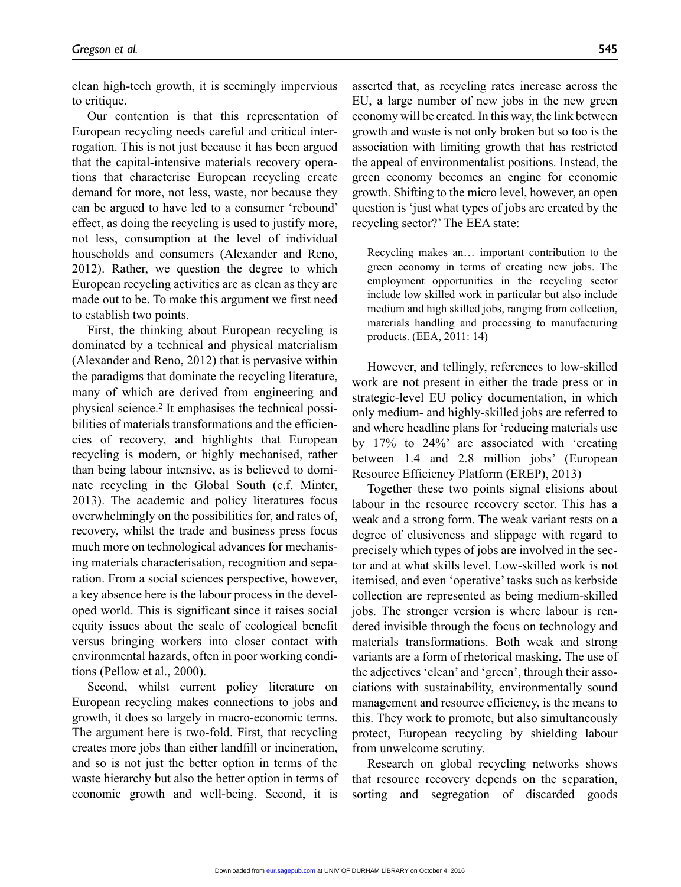clean high-tech growth, it is seemingly impervious to critique.

Our contention is that this representation of European recycling needs careful and critical interrogation. This is not just because it has been argued that the capital-intensive materials recovery operations that characterise European recycling create demand for more, not less, waste, nor because they can be argued to have led to a consumer 'rebound' effect, as doing the recycling is used to justify more, not less, consumption at the level of individual households and consumers (Alexander and Reno, 2012). Rather, we question the degree to which European recycling activities are as clean as they are made out to be. To make this argument we first need to establish two points.

First, the thinking about European recycling is dominated by a technical and physical materialism (Alexander and Reno, 2012) that is pervasive within the paradigms that dominate the recycling literature, many of which are derived from engineering and physical science.2 It emphasises the technical possibilities of materials transformations and the efficiencies of recovery, and highlights that European recycling is modern, or highly mechanised, rather than being labour intensive, as is believed to dominate recycling in the Global South (c.f. Minter, 2013). The academic and policy literatures focus overwhelmingly on the possibilities for, and rates of, recovery, whilst the trade and business press focus much more on technological advances for mechanising materials characterisation, recognition and separation. From a social sciences perspective, however, a key absence here is the labour process in the developed world. This is significant since it raises social equity issues about the scale of ecological benefit versus bringing workers into closer contact with environmental hazards, often in poor working conditions (Pellow et al., 2000).

Second, whilst current policy literature on European recycling makes connections to jobs and growth, it does so largely in macro-economic terms. The argument here is two-fold. First, that recycling creates more jobs than either landfill or incineration, and so is not just the better option in terms of the waste hierarchy but also the better option in terms of economic growth and well-being. Second, it is

asserted that, as recycling rates increase across the EU, a large number of new jobs in the new green economy will be created. In this way, the link between growth and waste is not only broken but so too is the association with limiting growth that has restricted the appeal of environmentalist positions. Instead, the green economy becomes an engine for economic growth. Shifting to the micro level, however, an open question is 'just what types of jobs are created by the recycling sector?' The EEA state:

Recycling makes an… important contribution to the green economy in terms of creating new jobs. The employment opportunities in the recycling sector include low skilled work in particular but also include medium and high skilled jobs, ranging from collection, materials handling and processing to manufacturing products. (EEA, 2011: 14)

However, and tellingly, references to low-skilled work are not present in either the trade press or in strategic-level EU policy documentation, in which only medium- and highly-skilled jobs are referred to and where headline plans for 'reducing materials use by 17% to 24%' are associated with 'creating between 1.4 and 2.8 million jobs' (European Resource Efficiency Platform (EREP), 2013)

Together these two points signal elisions about labour in the resource recovery sector. This has a weak and a strong form. The weak variant rests on a degree of elusiveness and slippage with regard to precisely which types of jobs are involved in the sector and at what skills level. Low-skilled work is not itemised, and even 'operative' tasks such as kerbside collection are represented as being medium-skilled jobs. The stronger version is where labour is rendered invisible through the focus on technology and materials transformations. Both weak and strong variants are a form of rhetorical masking. The use of the adjectives 'clean' and 'green', through their associations with sustainability, environmentally sound management and resource efficiency, is the means to this. They work to promote, but also simultaneously protect, European recycling by shielding labour from unwelcome scrutiny.

Research on global recycling networks shows that resource recovery depends on the separation, sorting and segregation of discarded goods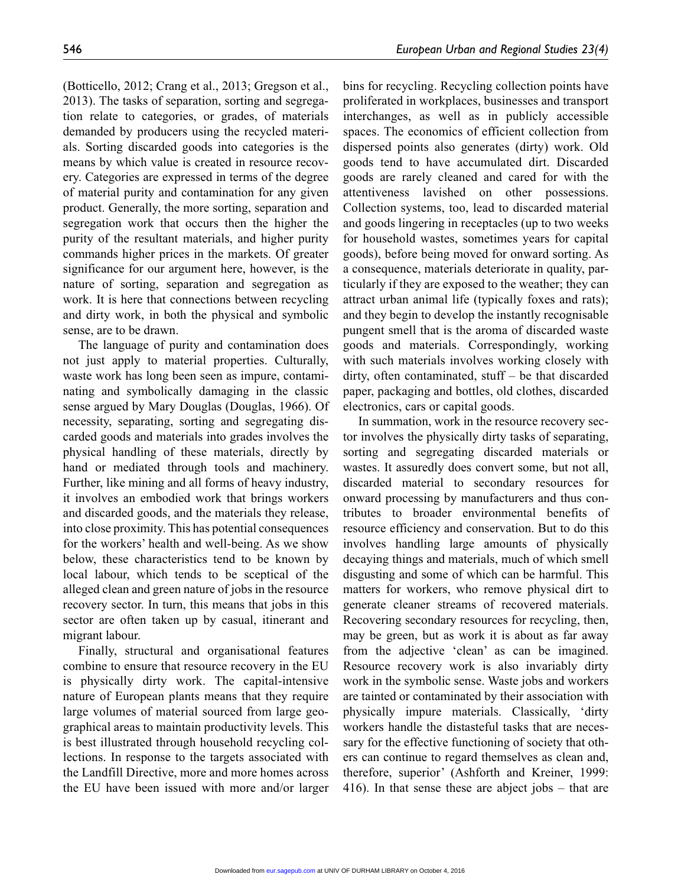(Botticello, 2012; Crang et al., 2013; Gregson et al., 2013). The tasks of separation, sorting and segregation relate to categories, or grades, of materials demanded by producers using the recycled materials. Sorting discarded goods into categories is the means by which value is created in resource recovery. Categories are expressed in terms of the degree of material purity and contamination for any given product. Generally, the more sorting, separation and segregation work that occurs then the higher the purity of the resultant materials, and higher purity commands higher prices in the markets. Of greater significance for our argument here, however, is the nature of sorting, separation and segregation as work. It is here that connections between recycling and dirty work, in both the physical and symbolic sense, are to be drawn.

The language of purity and contamination does not just apply to material properties. Culturally, waste work has long been seen as impure, contaminating and symbolically damaging in the classic sense argued by Mary Douglas (Douglas, 1966). Of necessity, separating, sorting and segregating discarded goods and materials into grades involves the physical handling of these materials, directly by hand or mediated through tools and machinery. Further, like mining and all forms of heavy industry, it involves an embodied work that brings workers and discarded goods, and the materials they release, into close proximity. This has potential consequences for the workers' health and well-being. As we show below, these characteristics tend to be known by local labour, which tends to be sceptical of the alleged clean and green nature of jobs in the resource recovery sector. In turn, this means that jobs in this sector are often taken up by casual, itinerant and migrant labour.

Finally, structural and organisational features combine to ensure that resource recovery in the EU is physically dirty work. The capital-intensive nature of European plants means that they require large volumes of material sourced from large geographical areas to maintain productivity levels. This is best illustrated through household recycling collections. In response to the targets associated with the Landfill Directive, more and more homes across the EU have been issued with more and/or larger

bins for recycling. Recycling collection points have proliferated in workplaces, businesses and transport interchanges, as well as in publicly accessible spaces. The economics of efficient collection from dispersed points also generates (dirty) work. Old goods tend to have accumulated dirt. Discarded goods are rarely cleaned and cared for with the attentiveness lavished on other possessions. Collection systems, too, lead to discarded material and goods lingering in receptacles (up to two weeks for household wastes, sometimes years for capital goods), before being moved for onward sorting. As a consequence, materials deteriorate in quality, particularly if they are exposed to the weather; they can attract urban animal life (typically foxes and rats); and they begin to develop the instantly recognisable pungent smell that is the aroma of discarded waste goods and materials. Correspondingly, working with such materials involves working closely with dirty, often contaminated, stuff – be that discarded paper, packaging and bottles, old clothes, discarded electronics, cars or capital goods.

In summation, work in the resource recovery sector involves the physically dirty tasks of separating, sorting and segregating discarded materials or wastes. It assuredly does convert some, but not all, discarded material to secondary resources for onward processing by manufacturers and thus contributes to broader environmental benefits of resource efficiency and conservation. But to do this involves handling large amounts of physically decaying things and materials, much of which smell disgusting and some of which can be harmful. This matters for workers, who remove physical dirt to generate cleaner streams of recovered materials. Recovering secondary resources for recycling, then, may be green, but as work it is about as far away from the adjective 'clean' as can be imagined. Resource recovery work is also invariably dirty work in the symbolic sense. Waste jobs and workers are tainted or contaminated by their association with physically impure materials. Classically, 'dirty workers handle the distasteful tasks that are necessary for the effective functioning of society that others can continue to regard themselves as clean and, therefore, superior' (Ashforth and Kreiner, 1999: 416). In that sense these are abject jobs – that are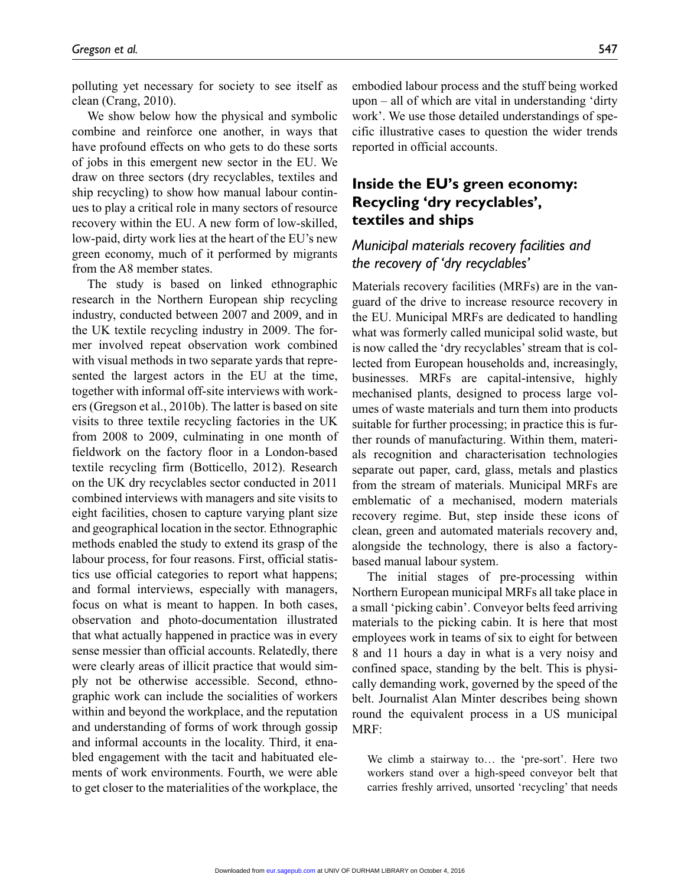polluting yet necessary for society to see itself as clean (Crang, 2010).

We show below how the physical and symbolic combine and reinforce one another, in ways that have profound effects on who gets to do these sorts of jobs in this emergent new sector in the EU. We draw on three sectors (dry recyclables, textiles and ship recycling) to show how manual labour continues to play a critical role in many sectors of resource recovery within the EU. A new form of low-skilled, low-paid, dirty work lies at the heart of the EU's new green economy, much of it performed by migrants from the A8 member states.

The study is based on linked ethnographic research in the Northern European ship recycling industry, conducted between 2007 and 2009, and in the UK textile recycling industry in 2009. The former involved repeat observation work combined with visual methods in two separate yards that represented the largest actors in the EU at the time, together with informal off-site interviews with workers (Gregson et al., 2010b). The latter is based on site visits to three textile recycling factories in the UK from 2008 to 2009, culminating in one month of fieldwork on the factory floor in a London-based textile recycling firm (Botticello, 2012). Research on the UK dry recyclables sector conducted in 2011 combined interviews with managers and site visits to eight facilities, chosen to capture varying plant size and geographical location in the sector. Ethnographic methods enabled the study to extend its grasp of the labour process, for four reasons. First, official statistics use official categories to report what happens; and formal interviews, especially with managers, focus on what is meant to happen. In both cases, observation and photo-documentation illustrated that what actually happened in practice was in every sense messier than official accounts. Relatedly, there were clearly areas of illicit practice that would simply not be otherwise accessible. Second, ethnographic work can include the socialities of workers within and beyond the workplace, and the reputation and understanding of forms of work through gossip and informal accounts in the locality. Third, it enabled engagement with the tacit and habituated elements of work environments. Fourth, we were able to get closer to the materialities of the workplace, the

embodied labour process and the stuff being worked upon – all of which are vital in understanding 'dirty work'. We use those detailed understandings of specific illustrative cases to question the wider trends reported in official accounts.

## **Inside the EU's green economy: Recycling 'dry recyclables', textiles and ships**

## *Municipal materials recovery facilities and the recovery of 'dry recyclables'*

Materials recovery facilities (MRFs) are in the vanguard of the drive to increase resource recovery in the EU. Municipal MRFs are dedicated to handling what was formerly called municipal solid waste, but is now called the 'dry recyclables' stream that is collected from European households and, increasingly, businesses. MRFs are capital-intensive, highly mechanised plants, designed to process large volumes of waste materials and turn them into products suitable for further processing; in practice this is further rounds of manufacturing. Within them, materials recognition and characterisation technologies separate out paper, card, glass, metals and plastics from the stream of materials. Municipal MRFs are emblematic of a mechanised, modern materials recovery regime. But, step inside these icons of clean, green and automated materials recovery and, alongside the technology, there is also a factorybased manual labour system.

The initial stages of pre-processing within Northern European municipal MRFs all take place in a small 'picking cabin'. Conveyor belts feed arriving materials to the picking cabin. It is here that most employees work in teams of six to eight for between 8 and 11 hours a day in what is a very noisy and confined space, standing by the belt. This is physically demanding work, governed by the speed of the belt. Journalist Alan Minter describes being shown round the equivalent process in a US municipal MRF:

We climb a stairway to… the 'pre-sort'. Here two workers stand over a high-speed conveyor belt that carries freshly arrived, unsorted 'recycling' that needs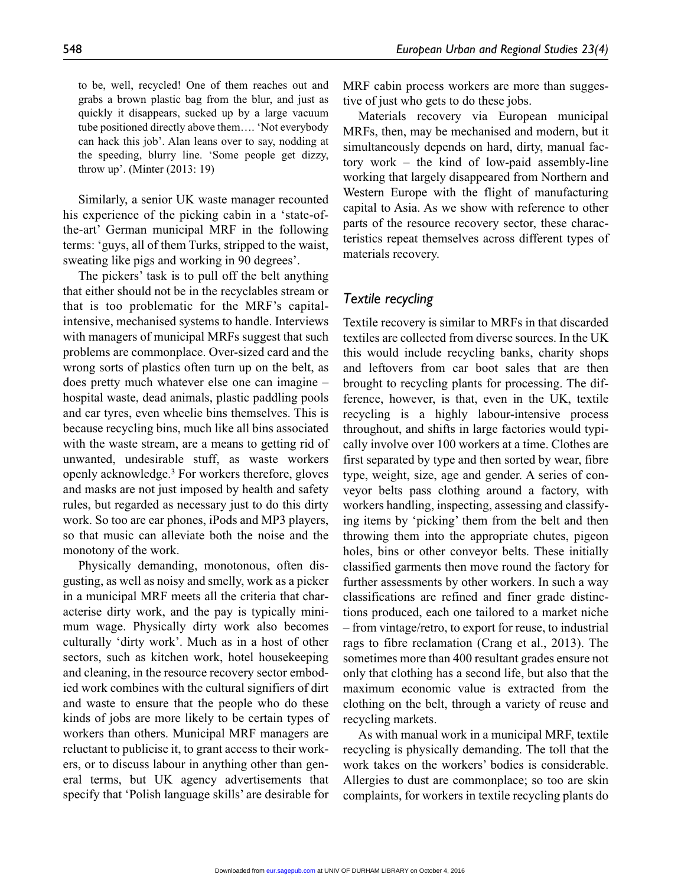to be, well, recycled! One of them reaches out and grabs a brown plastic bag from the blur, and just as quickly it disappears, sucked up by a large vacuum tube positioned directly above them…. 'Not everybody can hack this job'. Alan leans over to say, nodding at the speeding, blurry line. 'Some people get dizzy, throw up'. (Minter (2013: 19)

Similarly, a senior UK waste manager recounted his experience of the picking cabin in a 'state-ofthe-art' German municipal MRF in the following terms: 'guys, all of them Turks, stripped to the waist, sweating like pigs and working in 90 degrees'.

The pickers' task is to pull off the belt anything that either should not be in the recyclables stream or that is too problematic for the MRF's capitalintensive, mechanised systems to handle. Interviews with managers of municipal MRFs suggest that such problems are commonplace. Over-sized card and the wrong sorts of plastics often turn up on the belt, as does pretty much whatever else one can imagine – hospital waste, dead animals, plastic paddling pools and car tyres, even wheelie bins themselves. This is because recycling bins, much like all bins associated with the waste stream, are a means to getting rid of unwanted, undesirable stuff, as waste workers openly acknowledge.3 For workers therefore, gloves and masks are not just imposed by health and safety rules, but regarded as necessary just to do this dirty work. So too are ear phones, iPods and MP3 players, so that music can alleviate both the noise and the monotony of the work.

Physically demanding, monotonous, often disgusting, as well as noisy and smelly, work as a picker in a municipal MRF meets all the criteria that characterise dirty work, and the pay is typically minimum wage. Physically dirty work also becomes culturally 'dirty work'. Much as in a host of other sectors, such as kitchen work, hotel housekeeping and cleaning, in the resource recovery sector embodied work combines with the cultural signifiers of dirt and waste to ensure that the people who do these kinds of jobs are more likely to be certain types of workers than others. Municipal MRF managers are reluctant to publicise it, to grant access to their workers, or to discuss labour in anything other than general terms, but UK agency advertisements that specify that 'Polish language skills' are desirable for

MRF cabin process workers are more than suggestive of just who gets to do these jobs.

Materials recovery via European municipal MRFs, then, may be mechanised and modern, but it simultaneously depends on hard, dirty, manual factory work – the kind of low-paid assembly-line working that largely disappeared from Northern and Western Europe with the flight of manufacturing capital to Asia. As we show with reference to other parts of the resource recovery sector, these characteristics repeat themselves across different types of materials recovery.

#### *Textile recycling*

Textile recovery is similar to MRFs in that discarded textiles are collected from diverse sources. In the UK this would include recycling banks, charity shops and leftovers from car boot sales that are then brought to recycling plants for processing. The difference, however, is that, even in the UK, textile recycling is a highly labour-intensive process throughout, and shifts in large factories would typically involve over 100 workers at a time. Clothes are first separated by type and then sorted by wear, fibre type, weight, size, age and gender. A series of conveyor belts pass clothing around a factory, with workers handling, inspecting, assessing and classifying items by 'picking' them from the belt and then throwing them into the appropriate chutes, pigeon holes, bins or other conveyor belts. These initially classified garments then move round the factory for further assessments by other workers. In such a way classifications are refined and finer grade distinctions produced, each one tailored to a market niche – from vintage/retro, to export for reuse, to industrial rags to fibre reclamation (Crang et al., 2013). The sometimes more than 400 resultant grades ensure not only that clothing has a second life, but also that the maximum economic value is extracted from the clothing on the belt, through a variety of reuse and recycling markets.

As with manual work in a municipal MRF, textile recycling is physically demanding. The toll that the work takes on the workers' bodies is considerable. Allergies to dust are commonplace; so too are skin complaints, for workers in textile recycling plants do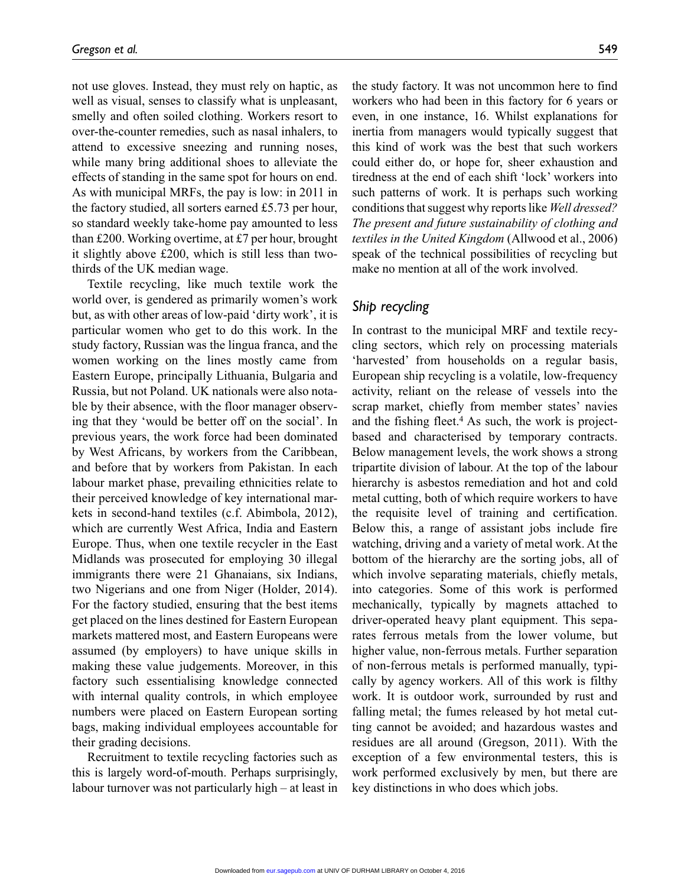not use gloves. Instead, they must rely on haptic, as well as visual, senses to classify what is unpleasant, smelly and often soiled clothing. Workers resort to over-the-counter remedies, such as nasal inhalers, to attend to excessive sneezing and running noses, while many bring additional shoes to alleviate the effects of standing in the same spot for hours on end. As with municipal MRFs, the pay is low: in 2011 in the factory studied, all sorters earned £5.73 per hour, so standard weekly take-home pay amounted to less than £200. Working overtime, at £7 per hour, brought it slightly above £200, which is still less than twothirds of the UK median wage.

Textile recycling, like much textile work the world over, is gendered as primarily women's work but, as with other areas of low-paid 'dirty work', it is particular women who get to do this work. In the study factory, Russian was the lingua franca, and the women working on the lines mostly came from Eastern Europe, principally Lithuania, Bulgaria and Russia, but not Poland. UK nationals were also notable by their absence, with the floor manager observing that they 'would be better off on the social'. In previous years, the work force had been dominated by West Africans, by workers from the Caribbean, and before that by workers from Pakistan. In each labour market phase, prevailing ethnicities relate to their perceived knowledge of key international markets in second-hand textiles (c.f. Abimbola, 2012), which are currently West Africa, India and Eastern Europe. Thus, when one textile recycler in the East Midlands was prosecuted for employing 30 illegal immigrants there were 21 Ghanaians, six Indians, two Nigerians and one from Niger (Holder, 2014). For the factory studied, ensuring that the best items get placed on the lines destined for Eastern European markets mattered most, and Eastern Europeans were assumed (by employers) to have unique skills in making these value judgements. Moreover, in this factory such essentialising knowledge connected with internal quality controls, in which employee numbers were placed on Eastern European sorting bags, making individual employees accountable for their grading decisions.

Recruitment to textile recycling factories such as this is largely word-of-mouth. Perhaps surprisingly, labour turnover was not particularly high – at least in the study factory. It was not uncommon here to find workers who had been in this factory for 6 years or even, in one instance, 16. Whilst explanations for inertia from managers would typically suggest that this kind of work was the best that such workers could either do, or hope for, sheer exhaustion and tiredness at the end of each shift 'lock' workers into such patterns of work. It is perhaps such working conditions that suggest why reports like *Well dressed? The present and future sustainability of clothing and textiles in the United Kingdom* (Allwood et al., 2006) speak of the technical possibilities of recycling but make no mention at all of the work involved.

#### *Ship recycling*

In contrast to the municipal MRF and textile recycling sectors, which rely on processing materials 'harvested' from households on a regular basis, European ship recycling is a volatile, low-frequency activity, reliant on the release of vessels into the scrap market, chiefly from member states' navies and the fishing fleet.4 As such, the work is projectbased and characterised by temporary contracts. Below management levels, the work shows a strong tripartite division of labour. At the top of the labour hierarchy is asbestos remediation and hot and cold metal cutting, both of which require workers to have the requisite level of training and certification. Below this, a range of assistant jobs include fire watching, driving and a variety of metal work. At the bottom of the hierarchy are the sorting jobs, all of which involve separating materials, chiefly metals, into categories. Some of this work is performed mechanically, typically by magnets attached to driver-operated heavy plant equipment. This separates ferrous metals from the lower volume, but higher value, non-ferrous metals. Further separation of non-ferrous metals is performed manually, typically by agency workers. All of this work is filthy work. It is outdoor work, surrounded by rust and falling metal; the fumes released by hot metal cutting cannot be avoided; and hazardous wastes and residues are all around (Gregson, 2011). With the exception of a few environmental testers, this is work performed exclusively by men, but there are key distinctions in who does which jobs.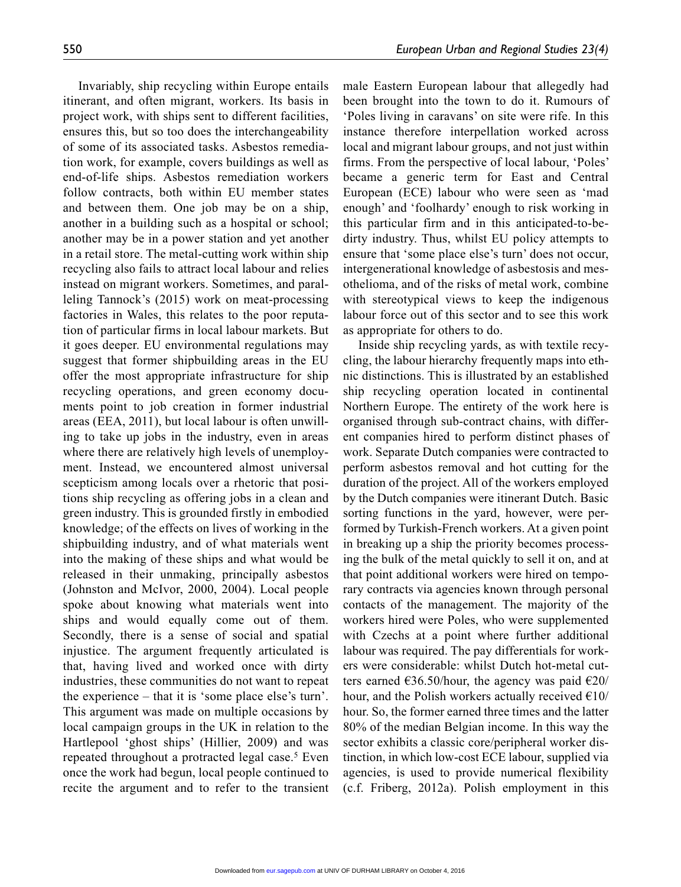Invariably, ship recycling within Europe entails itinerant, and often migrant, workers. Its basis in project work, with ships sent to different facilities, ensures this, but so too does the interchangeability of some of its associated tasks. Asbestos remediation work, for example, covers buildings as well as end-of-life ships. Asbestos remediation workers follow contracts, both within EU member states and between them. One job may be on a ship, another in a building such as a hospital or school; another may be in a power station and yet another in a retail store. The metal-cutting work within ship recycling also fails to attract local labour and relies instead on migrant workers. Sometimes, and paralleling Tannock's (2015) work on meat-processing factories in Wales, this relates to the poor reputation of particular firms in local labour markets. But it goes deeper. EU environmental regulations may suggest that former shipbuilding areas in the EU offer the most appropriate infrastructure for ship recycling operations, and green economy documents point to job creation in former industrial areas (EEA, 2011), but local labour is often unwilling to take up jobs in the industry, even in areas where there are relatively high levels of unemployment. Instead, we encountered almost universal scepticism among locals over a rhetoric that positions ship recycling as offering jobs in a clean and green industry. This is grounded firstly in embodied knowledge; of the effects on lives of working in the shipbuilding industry, and of what materials went into the making of these ships and what would be released in their unmaking, principally asbestos (Johnston and McIvor, 2000, 2004). Local people spoke about knowing what materials went into ships and would equally come out of them. Secondly, there is a sense of social and spatial injustice. The argument frequently articulated is that, having lived and worked once with dirty industries, these communities do not want to repeat the experience – that it is 'some place else's turn'. This argument was made on multiple occasions by local campaign groups in the UK in relation to the Hartlepool 'ghost ships' (Hillier, 2009) and was repeated throughout a protracted legal case.<sup>5</sup> Even once the work had begun, local people continued to recite the argument and to refer to the transient

male Eastern European labour that allegedly had been brought into the town to do it. Rumours of 'Poles living in caravans' on site were rife. In this instance therefore interpellation worked across local and migrant labour groups, and not just within firms. From the perspective of local labour, 'Poles' became a generic term for East and Central European (ECE) labour who were seen as 'mad enough' and 'foolhardy' enough to risk working in this particular firm and in this anticipated-to-bedirty industry. Thus, whilst EU policy attempts to ensure that 'some place else's turn' does not occur, intergenerational knowledge of asbestosis and mesothelioma, and of the risks of metal work, combine with stereotypical views to keep the indigenous labour force out of this sector and to see this work as appropriate for others to do.

Inside ship recycling yards, as with textile recycling, the labour hierarchy frequently maps into ethnic distinctions. This is illustrated by an established ship recycling operation located in continental Northern Europe. The entirety of the work here is organised through sub-contract chains, with different companies hired to perform distinct phases of work. Separate Dutch companies were contracted to perform asbestos removal and hot cutting for the duration of the project. All of the workers employed by the Dutch companies were itinerant Dutch. Basic sorting functions in the yard, however, were performed by Turkish-French workers. At a given point in breaking up a ship the priority becomes processing the bulk of the metal quickly to sell it on, and at that point additional workers were hired on temporary contracts via agencies known through personal contacts of the management. The majority of the workers hired were Poles, who were supplemented with Czechs at a point where further additional labour was required. The pay differentials for workers were considerable: whilst Dutch hot-metal cutters earned  $\epsilon$ 36.50/hour, the agency was paid  $\epsilon$ 20/ hour, and the Polish workers actually received  $\epsilon$ 10/ hour. So, the former earned three times and the latter 80% of the median Belgian income. In this way the sector exhibits a classic core/peripheral worker distinction, in which low-cost ECE labour, supplied via agencies, is used to provide numerical flexibility (c.f. Friberg, 2012a). Polish employment in this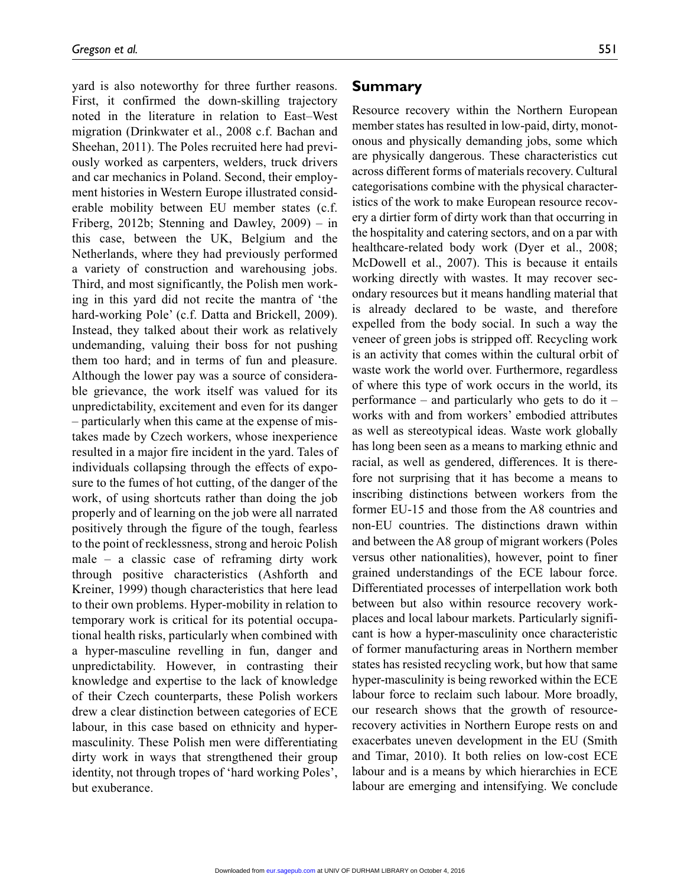yard is also noteworthy for three further reasons. First, it confirmed the down-skilling trajectory noted in the literature in relation to East–West migration (Drinkwater et al., 2008 c.f. Bachan and Sheehan, 2011). The Poles recruited here had previously worked as carpenters, welders, truck drivers and car mechanics in Poland. Second, their employment histories in Western Europe illustrated considerable mobility between EU member states (c.f. Friberg, 2012b; Stenning and Dawley, 2009) – in this case, between the UK, Belgium and the Netherlands, where they had previously performed a variety of construction and warehousing jobs. Third, and most significantly, the Polish men working in this yard did not recite the mantra of 'the hard-working Pole' (c.f. Datta and Brickell, 2009). Instead, they talked about their work as relatively undemanding, valuing their boss for not pushing them too hard; and in terms of fun and pleasure. Although the lower pay was a source of considerable grievance, the work itself was valued for its unpredictability, excitement and even for its danger – particularly when this came at the expense of mistakes made by Czech workers, whose inexperience resulted in a major fire incident in the yard. Tales of individuals collapsing through the effects of exposure to the fumes of hot cutting, of the danger of the work, of using shortcuts rather than doing the job properly and of learning on the job were all narrated positively through the figure of the tough, fearless to the point of recklessness, strong and heroic Polish male – a classic case of reframing dirty work through positive characteristics (Ashforth and Kreiner, 1999) though characteristics that here lead to their own problems. Hyper-mobility in relation to temporary work is critical for its potential occupational health risks, particularly when combined with a hyper-masculine revelling in fun, danger and unpredictability. However, in contrasting their knowledge and expertise to the lack of knowledge of their Czech counterparts, these Polish workers drew a clear distinction between categories of ECE labour, in this case based on ethnicity and hypermasculinity. These Polish men were differentiating dirty work in ways that strengthened their group identity, not through tropes of 'hard working Poles', but exuberance.

#### **Summary**

Resource recovery within the Northern European member states has resulted in low-paid, dirty, monotonous and physically demanding jobs, some which are physically dangerous. These characteristics cut across different forms of materials recovery. Cultural categorisations combine with the physical characteristics of the work to make European resource recovery a dirtier form of dirty work than that occurring in the hospitality and catering sectors, and on a par with healthcare-related body work (Dyer et al., 2008; McDowell et al., 2007). This is because it entails working directly with wastes. It may recover secondary resources but it means handling material that is already declared to be waste, and therefore expelled from the body social. In such a way the veneer of green jobs is stripped off. Recycling work is an activity that comes within the cultural orbit of waste work the world over. Furthermore, regardless of where this type of work occurs in the world, its performance – and particularly who gets to do it – works with and from workers' embodied attributes as well as stereotypical ideas. Waste work globally has long been seen as a means to marking ethnic and racial, as well as gendered, differences. It is therefore not surprising that it has become a means to inscribing distinctions between workers from the former EU-15 and those from the A8 countries and non-EU countries. The distinctions drawn within and between the A8 group of migrant workers (Poles versus other nationalities), however, point to finer grained understandings of the ECE labour force. Differentiated processes of interpellation work both between but also within resource recovery workplaces and local labour markets. Particularly significant is how a hyper-masculinity once characteristic of former manufacturing areas in Northern member states has resisted recycling work, but how that same hyper-masculinity is being reworked within the ECE labour force to reclaim such labour. More broadly, our research shows that the growth of resourcerecovery activities in Northern Europe rests on and exacerbates uneven development in the EU (Smith and Timar, 2010). It both relies on low-cost ECE labour and is a means by which hierarchies in ECE labour are emerging and intensifying. We conclude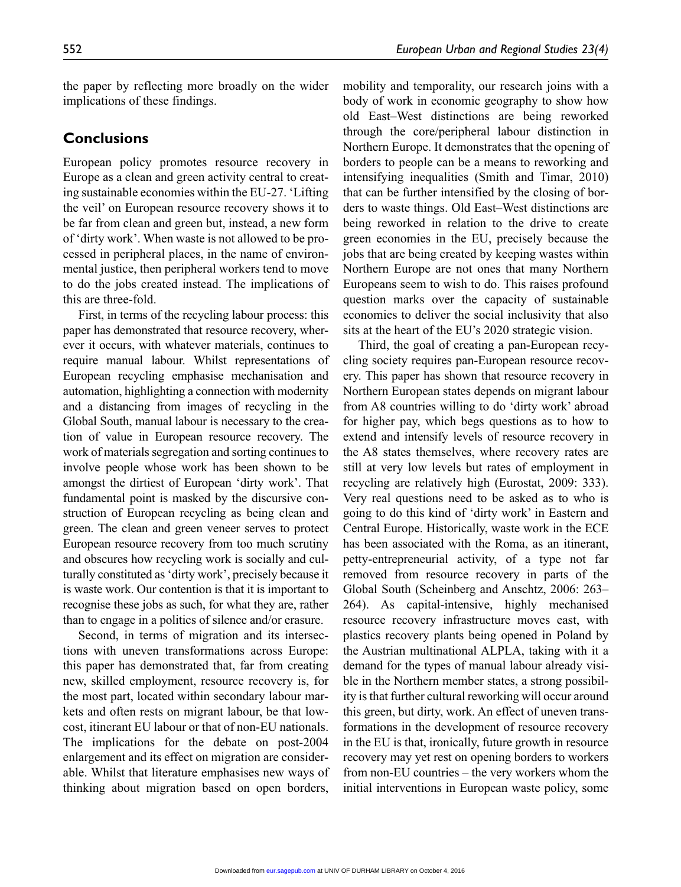the paper by reflecting more broadly on the wider implications of these findings.

## **Conclusions**

European policy promotes resource recovery in Europe as a clean and green activity central to creating sustainable economies within the EU-27. 'Lifting the veil' on European resource recovery shows it to be far from clean and green but, instead, a new form of 'dirty work'. When waste is not allowed to be processed in peripheral places, in the name of environmental justice, then peripheral workers tend to move to do the jobs created instead. The implications of this are three-fold.

First, in terms of the recycling labour process: this paper has demonstrated that resource recovery, wherever it occurs, with whatever materials, continues to require manual labour. Whilst representations of European recycling emphasise mechanisation and automation, highlighting a connection with modernity and a distancing from images of recycling in the Global South, manual labour is necessary to the creation of value in European resource recovery. The work of materials segregation and sorting continues to involve people whose work has been shown to be amongst the dirtiest of European 'dirty work'. That fundamental point is masked by the discursive construction of European recycling as being clean and green. The clean and green veneer serves to protect European resource recovery from too much scrutiny and obscures how recycling work is socially and culturally constituted as 'dirty work', precisely because it is waste work. Our contention is that it is important to recognise these jobs as such, for what they are, rather than to engage in a politics of silence and/or erasure.

Second, in terms of migration and its intersections with uneven transformations across Europe: this paper has demonstrated that, far from creating new, skilled employment, resource recovery is, for the most part, located within secondary labour markets and often rests on migrant labour, be that lowcost, itinerant EU labour or that of non-EU nationals. The implications for the debate on post-2004 enlargement and its effect on migration are considerable. Whilst that literature emphasises new ways of thinking about migration based on open borders,

mobility and temporality, our research joins with a body of work in economic geography to show how old East–West distinctions are being reworked through the core/peripheral labour distinction in Northern Europe. It demonstrates that the opening of borders to people can be a means to reworking and intensifying inequalities (Smith and Timar, 2010) that can be further intensified by the closing of borders to waste things. Old East–West distinctions are being reworked in relation to the drive to create green economies in the EU, precisely because the jobs that are being created by keeping wastes within Northern Europe are not ones that many Northern Europeans seem to wish to do. This raises profound question marks over the capacity of sustainable economies to deliver the social inclusivity that also sits at the heart of the EU's 2020 strategic vision.

Third, the goal of creating a pan-European recycling society requires pan-European resource recovery. This paper has shown that resource recovery in Northern European states depends on migrant labour from A8 countries willing to do 'dirty work' abroad for higher pay, which begs questions as to how to extend and intensify levels of resource recovery in the A8 states themselves, where recovery rates are still at very low levels but rates of employment in recycling are relatively high (Eurostat, 2009: 333). Very real questions need to be asked as to who is going to do this kind of 'dirty work' in Eastern and Central Europe. Historically, waste work in the ECE has been associated with the Roma, as an itinerant, petty-entrepreneurial activity, of a type not far removed from resource recovery in parts of the Global South (Scheinberg and Anschtz, 2006: 263– 264). As capital-intensive, highly mechanised resource recovery infrastructure moves east, with plastics recovery plants being opened in Poland by the Austrian multinational ALPLA, taking with it a demand for the types of manual labour already visible in the Northern member states, a strong possibility is that further cultural reworking will occur around this green, but dirty, work. An effect of uneven transformations in the development of resource recovery in the EU is that, ironically, future growth in resource recovery may yet rest on opening borders to workers from non-EU countries – the very workers whom the initial interventions in European waste policy, some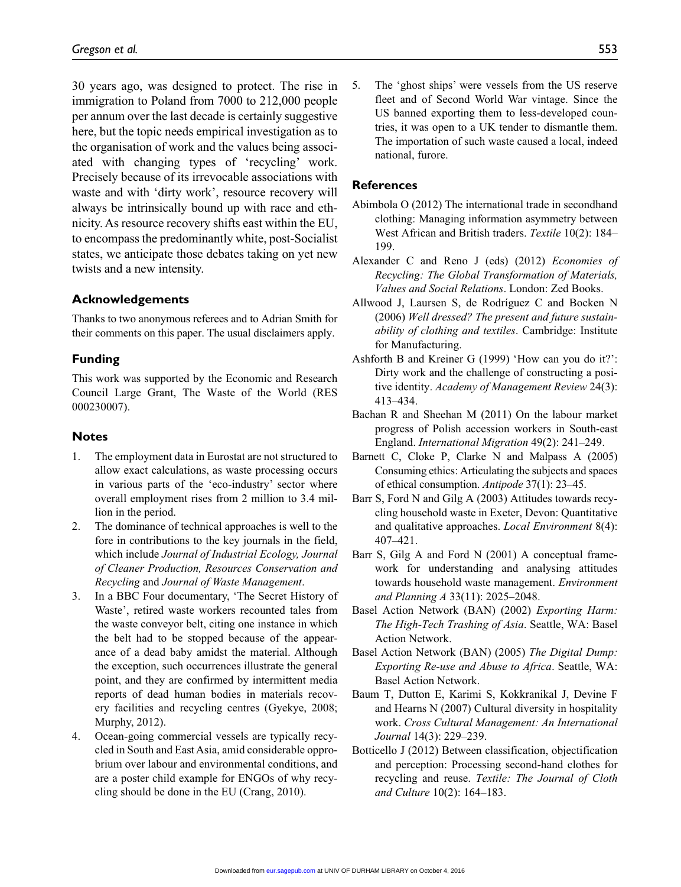30 years ago, was designed to protect. The rise in immigration to Poland from 7000 to 212,000 people per annum over the last decade is certainly suggestive here, but the topic needs empirical investigation as to the organisation of work and the values being associated with changing types of 'recycling' work. Precisely because of its irrevocable associations with waste and with 'dirty work', resource recovery will always be intrinsically bound up with race and ethnicity. As resource recovery shifts east within the EU, to encompass the predominantly white, post-Socialist states, we anticipate those debates taking on yet new twists and a new intensity.

#### **Acknowledgements**

Thanks to two anonymous referees and to Adrian Smith for their comments on this paper. The usual disclaimers apply.

#### **Funding**

This work was supported by the Economic and Research Council Large Grant, The Waste of the World (RES 000230007).

#### **Notes**

- 1. The employment data in Eurostat are not structured to allow exact calculations, as waste processing occurs in various parts of the 'eco-industry' sector where overall employment rises from 2 million to 3.4 million in the period.
- 2. The dominance of technical approaches is well to the fore in contributions to the key journals in the field, which include *Journal of Industrial Ecology, Journal of Cleaner Production, Resources Conservation and Recycling* and *Journal of Waste Management*.
- 3. In a BBC Four documentary, 'The Secret History of Waste', retired waste workers recounted tales from the waste conveyor belt, citing one instance in which the belt had to be stopped because of the appearance of a dead baby amidst the material. Although the exception, such occurrences illustrate the general point, and they are confirmed by intermittent media reports of dead human bodies in materials recovery facilities and recycling centres (Gyekye, 2008; Murphy, 2012).
- 4. Ocean-going commercial vessels are typically recycled in South and East Asia, amid considerable opprobrium over labour and environmental conditions, and are a poster child example for ENGOs of why recycling should be done in the EU (Crang, 2010).

5. The 'ghost ships' were vessels from the US reserve fleet and of Second World War vintage. Since the US banned exporting them to less-developed countries, it was open to a UK tender to dismantle them. The importation of such waste caused a local, indeed national, furore.

#### **References**

- Abimbola O (2012) The international trade in secondhand clothing: Managing information asymmetry between West African and British traders. *Textile* 10(2): 184– 199.
- Alexander C and Reno J (eds) (2012) *Economies of Recycling: The Global Transformation of Materials, Values and Social Relations*. London: Zed Books.
- Allwood J, Laursen S, de Rodríguez C and Bocken N (2006) *Well dressed? The present and future sustainability of clothing and textiles*. Cambridge: Institute for Manufacturing.
- Ashforth B and Kreiner G (1999) 'How can you do it?': Dirty work and the challenge of constructing a positive identity. *Academy of Management Review* 24(3): 413–434.
- Bachan R and Sheehan M (2011) On the labour market progress of Polish accession workers in South-east England. *International Migration* 49(2): 241–249.
- Barnett C, Cloke P, Clarke N and Malpass A (2005) Consuming ethics: Articulating the subjects and spaces of ethical consumption. *Antipode* 37(1): 23–45.
- Barr S, Ford N and Gilg A (2003) Attitudes towards recycling household waste in Exeter, Devon: Quantitative and qualitative approaches. *Local Environment* 8(4): 407–421.
- Barr S, Gilg A and Ford N (2001) A conceptual framework for understanding and analysing attitudes towards household waste management. *Environment and Planning A* 33(11): 2025–2048.
- Basel Action Network (BAN) (2002) *Exporting Harm: The High-Tech Trashing of Asia*. Seattle, WA: Basel Action Network.
- Basel Action Network (BAN) (2005) *The Digital Dump: Exporting Re-use and Abuse to Africa*. Seattle, WA: Basel Action Network.
- Baum T, Dutton E, Karimi S, Kokkranikal J, Devine F and Hearns N (2007) Cultural diversity in hospitality work. *Cross Cultural Management: An International Journal* 14(3): 229–239.
- Botticello J (2012) Between classification, objectification and perception: Processing second-hand clothes for recycling and reuse. *Textile: The Journal of Cloth and Culture* 10(2): 164–183.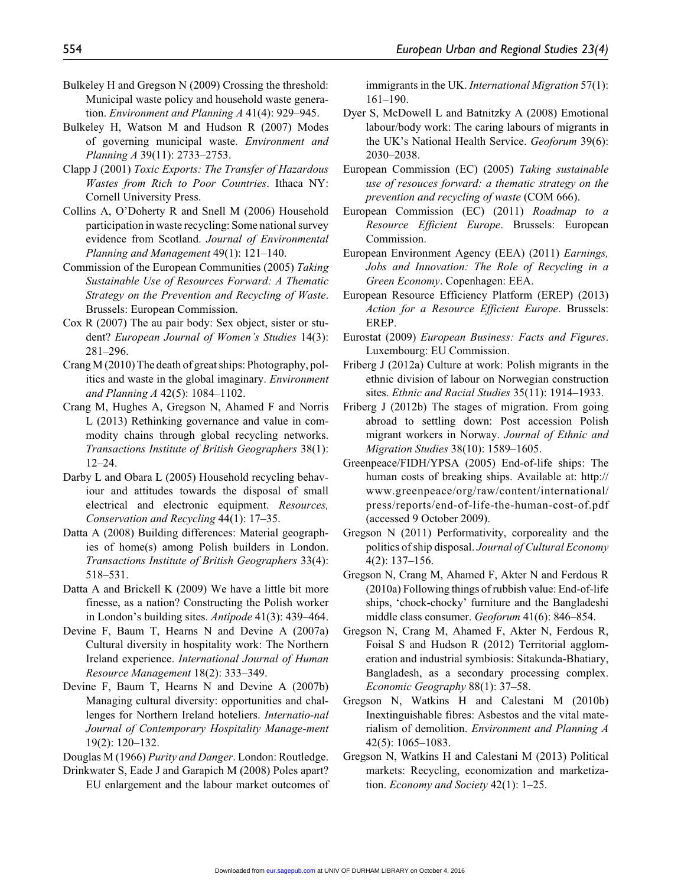- Bulkeley H and Gregson N (2009) Crossing the threshold: Municipal waste policy and household waste generation. *Environment and Planning A* 41(4): 929–945.
- Bulkeley H, Watson M and Hudson R (2007) Modes of governing municipal waste. *Environment and Planning A* 39(11): 2733–2753.
- Clapp J (2001) *Toxic Exports: The Transfer of Hazardous Wastes from Rich to Poor Countries*. Ithaca NY: Cornell University Press.
- Collins A, O'Doherty R and Snell M (2006) Household participation in waste recycling: Some national survey evidence from Scotland. *Journal of Environmental Planning and Management* 49(1): 121–140.
- Commission of the European Communities (2005) *Taking Sustainable Use of Resources Forward: A Thematic Strategy on the Prevention and Recycling of Waste*. Brussels: European Commission.
- Cox R (2007) The au pair body: Sex object, sister or student? *European Journal of Women's Studies* 14(3): 281–296.
- Crang M (2010) The death of great ships: Photography, politics and waste in the global imaginary. *Environment and Planning A* 42(5): 1084–1102.
- Crang M, Hughes A, Gregson N, Ahamed F and Norris L (2013) Rethinking governance and value in commodity chains through global recycling networks. *Transactions Institute of British Geographers* 38(1): 12–24.
- Darby L and Obara L (2005) Household recycling behaviour and attitudes towards the disposal of small electrical and electronic equipment. *Resources, Conservation and Recycling* 44(1): 17–35.
- Datta A (2008) Building differences: Material geographies of home(s) among Polish builders in London. *Transactions Institute of British Geographers* 33(4): 518–531.
- Datta A and Brickell K (2009) We have a little bit more finesse, as a nation? Constructing the Polish worker in London's building sites. *Antipode* 41(3): 439–464.
- Devine F, Baum T, Hearns N and Devine A (2007a) Cultural diversity in hospitality work: The Northern Ireland experience. *International Journal of Human Resource Management* 18(2): 333–349.
- Devine F, Baum T, Hearns N and Devine A (2007b) Managing cultural diversity: opportunities and challenges for Northern Ireland hoteliers. *Internatio-nal Journal of Contemporary Hospitality Manage-ment* 19(2): 120–132.

Douglas M (1966) *Purity and Danger*. London: Routledge.

Drinkwater S, Eade J and Garapich M (2008) Poles apart? EU enlargement and the labour market outcomes of immigrants in the UK. *International Migration* 57(1): 161–190.

- Dyer S, McDowell L and Batnitzky A (2008) Emotional labour/body work: The caring labours of migrants in the UK's National Health Service. *Geoforum* 39(6): 2030–2038.
- European Commission (EC) (2005) *Taking sustainable use of resouces forward: a thematic strategy on the prevention and recycling of waste* (COM 666).
- European Commission (EC) (2011) *Roadmap to a Resource Efficient Europe*. Brussels: European Commission.
- European Environment Agency (EEA) (2011) *Earnings, Jobs and Innovation: The Role of Recycling in a Green Economy*. Copenhagen: EEA.
- European Resource Efficiency Platform (EREP) (2013) *Action for a Resource Efficient Europe*. Brussels: EREP.
- Eurostat (2009) *European Business: Facts and Figures*. Luxembourg: EU Commission.
- Friberg J (2012a) Culture at work: Polish migrants in the ethnic division of labour on Norwegian construction sites. *Ethnic and Racial Studies* 35(11): 1914–1933.
- Friberg J (2012b) The stages of migration. From going abroad to settling down: Post accession Polish migrant workers in Norway. *Journal of Ethnic and Migration Studies* 38(10): 1589–1605.
- Greenpeace/FIDH/YPSA (2005) End-of-life ships: The human costs of breaking ships. Available at: http:// www.greenpeace/org/raw/content/international/ press/reports/end-of-life-the-human-cost-of.pdf (accessed 9 October 2009).
- Gregson N (2011) Performativity, corporeality and the politics of ship disposal. *Journal of Cultural Economy* 4(2): 137–156.
- Gregson N, Crang M, Ahamed F, Akter N and Ferdous R (2010a) Following things of rubbish value: End-of-life ships, 'chock-chocky' furniture and the Bangladeshi middle class consumer. *Geoforum* 41(6): 846–854.
- Gregson N, Crang M, Ahamed F, Akter N, Ferdous R, Foisal S and Hudson R (2012) Territorial agglomeration and industrial symbiosis: Sitakunda-Bhatiary, Bangladesh, as a secondary processing complex. *Economic Geography* 88(1): 37–58.
- Gregson N, Watkins H and Calestani M (2010b) Inextinguishable fibres: Asbestos and the vital materialism of demolition. *Environment and Planning A* 42(5): 1065–1083.
- Gregson N, Watkins H and Calestani M (2013) Political markets: Recycling, economization and marketization. *Economy and Society* 42(1): 1–25.